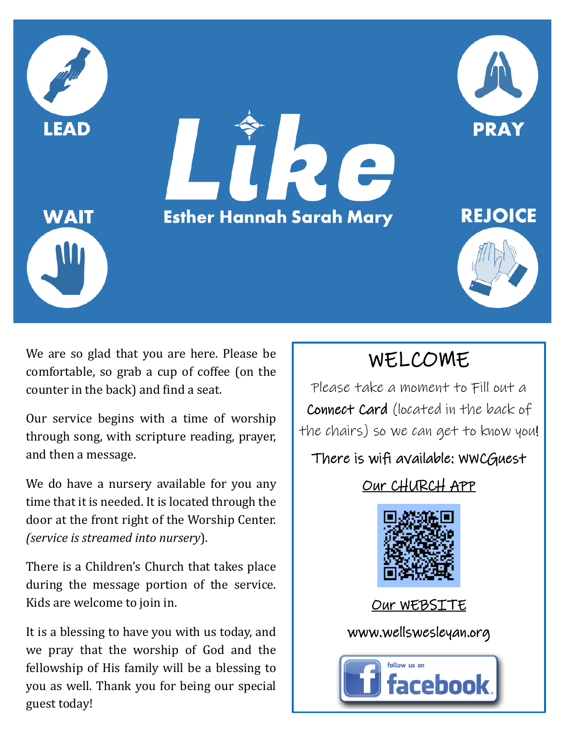

We are so glad that you are here. Please be comfortable, so grab a cup of coffee (on the counter in the back) and find a seat.

Our service begins with a time of worship through song, with scripture reading, prayer, and then a message.

We do have a nursery available for you any time that it is needed. It is located through the door at the front right of the Worship Center. *(service is streamed into nursery*).

There is a Children's Church that takes place during the message portion of the service. Kids are welcome to join in.

It is a blessing to have you with us today, and we pray that the worship of God and the fellowship of His family will be a blessing to you as well. Thank you for being our special guest today!

# WELCOME

Please take a moment to Fill out a Connect Card (located in the back of the chairs) so we can get to know you!

#### There is wifi available: WWCGuest

### Our CHURCH APP



#### Our WEBSITE

www.wellswesleyan.org